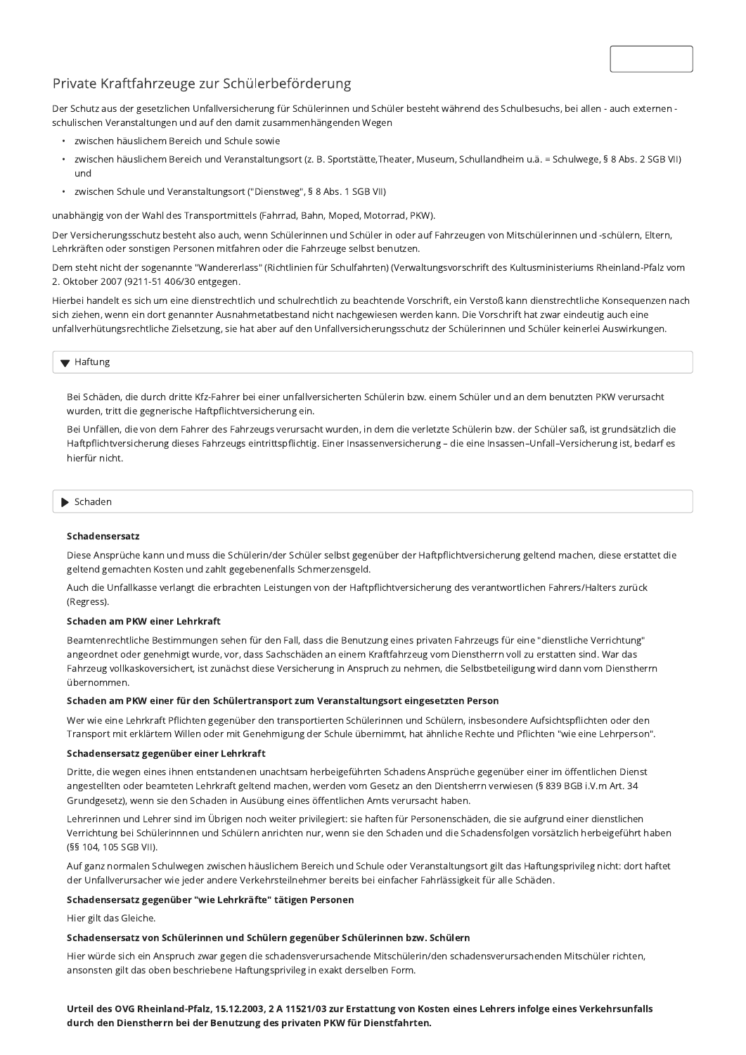# Private Kraftfahrzeuge zur Schülerbeförderung

Der Schutz aus der gesetzlichen Unfallversicherung für Schülerinnen und Schüler besteht während des Schulbesuchs, bei allen - auch externen schulischen Veranstaltungen und auf den damit zusammenhängenden Wegen

- zwischen häuslichem Bereich und Schule sowie
- · zwischen häuslichem Bereich und Veranstaltungsort (z. B. Sportstätte, Theater, Museum, Schullandheim u.ä. = Schulwege, § 8 Abs. 2 SGB VII) und
- zwischen Schule und Veranstaltungsort ("Dienstweg", § 8 Abs. 1 SGB VII)  $\bullet$

unabhängig von der Wahl des Transportmittels (Fahrrad, Bahn, Moped, Motorrad, PKW).

Der Versicherungsschutz besteht also auch, wenn Schülerinnen und Schüler in oder auf Fahrzeugen von Mitschülerinnen und -schülern, Eltern, Lehrkräften oder sonstigen Personen mitfahren oder die Fahrzeuge selbst benutzen.

Dem steht nicht der sogenannte "Wandererlass" (Richtlinien für Schulfahrten) (Verwaltungsvorschrift des Kultusministeriums Rheinland-Pfalz vom 2. Oktober 2007 (9211-51 406/30 entgegen.

Hierbei handelt es sich um eine dienstrechtlich und schulrechtlich zu beachtende Vorschrift, ein Verstoß kann dienstrechtliche Konsequenzen nach sich ziehen, wenn ein dort genannter Ausnahmetatbestand nicht nachgewiesen werden kann. Die Vorschrift hat zwar eindeutig auch eine unfallverhütungsrechtliche Zielsetzung, sie hat aber auf den Unfallversicherungsschutz der Schülerinnen und Schüler keinerlei Auswirkungen.

## ▼ Haftung

Bei Schäden, die durch dritte Kfz-Fahrer bei einer unfallversicherten Schülerin bzw. einem Schüler und an dem benutzten PKW verursacht wurden, tritt die gegnerische Haftpflichtversicherung ein.

Bei Unfällen, die von dem Fahrer des Fahrzeugs verursacht wurden, in dem die verletzte Schülerin bzw. der Schüler saß, ist grundsätzlich die Haftpflichtversicherung dieses Fahrzeugs eintrittspflichtig. Einer Insassenversicherung - die eine Insassen-Unfall-Versicherung ist, bedarf es hierfür nicht.

#### $\blacktriangleright$  Schaden

## Schadensersatz

Diese Ansprüche kann und muss die Schülerin/der Schüler selbst gegenüber der Haftpflichtversicherung geltend machen, diese erstattet die geltend gemachten Kosten und zahlt gegebenenfalls Schmerzensgeld.

Auch die Unfallkasse verlangt die erbrachten Leistungen von der Haftpflichtversicherung des verantwortlichen Fahrers/Halters zurück (Regress).

#### Schaden am PKW einer Lehrkraft

Beamtenrechtliche Bestimmungen sehen für den Fall, dass die Benutzung eines privaten Fahrzeugs für eine "dienstliche Verrichtung" angeordnet oder genehmigt wurde, vor, dass Sachschäden an einem Kraftfahrzeug vom Dienstherrn voll zu erstatten sind. War das Fahrzeug vollkaskoversichert, ist zunächst diese Versicherung in Anspruch zu nehmen, die Selbstbeteiligung wird dann vom Dienstherrn übernommen.

#### Schaden am PKW einer für den Schülertransport zum Veranstaltungsort eingesetzten Person

Wer wie eine Lehrkraft Pflichten gegenüber den transportierten Schülerinnen und Schülern, insbesondere Aufsichtspflichten oder den Transport mit erklärtem Willen oder mit Genehmigung der Schule übernimmt, hat ähnliche Rechte und Pflichten "wie eine Lehrperson".

#### Schadensersatz gegenüber einer Lehrkraft

Dritte, die wegen eines ihnen entstandenen unachtsam herbeigeführten Schadens Ansprüche gegenüber einer im öffentlichen Dienst angestellten oder beamteten Lehrkraft geltend machen, werden vom Gesetz an den Dientsherrn verwiesen (§ 839 BGB i.V.m Art. 34 Grundgesetz), wenn sie den Schaden in Ausübung eines öffentlichen Amts verursacht haben.

Lehrerinnen und Lehrer sind im Übrigen noch weiter privilegiert: sie haften für Personenschäden, die sie aufgrund einer dienstlichen Verrichtung bei Schülerinnnen und Schülern anrichten nur, wenn sie den Schaden und die Schadensfolgen vorsätzlich herbeigeführt haben (§§ 104, 105 SGB VII).

Auf ganz normalen Schulwegen zwischen häuslichem Bereich und Schule oder Veranstaltungsort gilt das Haftungsprivileg nicht: dort haftet der Unfallverursacher wie jeder andere Verkehrsteilnehmer bereits bei einfacher Fahrlässigkeit für alle Schäden.

### Schadensersatz gegenüber "wie Lehrkräfte" tätigen Personen

Hier gilt das Gleiche.

#### Schadensersatz von Schülerinnen und Schülern gegenüber Schülerinnen bzw. Schülern

Hier würde sich ein Anspruch zwar gegen die schadensverursachende Mitschülerin/den schadensverursachenden Mitschüler richten, ansonsten gilt das oben beschriebene Haftungsprivileg in exakt derselben Form.

# Urteil des OVG Rheinland-Pfalz, 15.12.2003, 2 A 11521/03 zur Erstattung von Kosten eines Lehrers infolge eines Verkehrsunfalls durch den Dienstherrn bei der Benutzung des privaten PKW für Dienstfahrten.